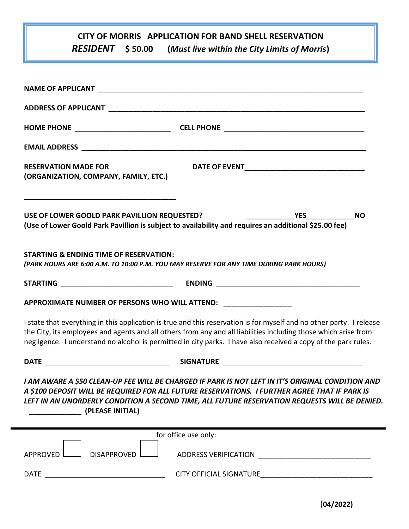## **CITY OF MORRIS APPLICATION FOR BAND SHELL RESERVATION**

*RESIDENT* **\$ 50.00 (***Must live within the City Limits of Morris***)**

| <b>RESERVATION MADE FOR</b><br>(ORGANIZATION, COMPANY, FAMILY, ETC.)                                                                                                                                                                                                                                                                                      |  |  |  |  |
|-----------------------------------------------------------------------------------------------------------------------------------------------------------------------------------------------------------------------------------------------------------------------------------------------------------------------------------------------------------|--|--|--|--|
| USE OF LOWER GOOLD PARK PAVILLION REQUESTED?<br>(Use of Lower Goold Park Pavillion is subject to availability and requires an additional \$25.00 fee)                                                                                                                                                                                                     |  |  |  |  |
| <b>STARTING &amp; ENDING TIME OF RESERVATION:</b><br>(PARK HOURS ARE 6:00 A.M. TO 10:00 P.M. YOU MAY RESERVE FOR ANY TIME DURING PARK HOURS)                                                                                                                                                                                                              |  |  |  |  |
|                                                                                                                                                                                                                                                                                                                                                           |  |  |  |  |
| APPROXIMATE NUMBER OF PERSONS WHO WILL ATTEND: _________________                                                                                                                                                                                                                                                                                          |  |  |  |  |
| I state that everything in this application is true and this reservation is for myself and no other party. I release<br>the City, its employees and agents and all others from any and all liabilities including those which arise from<br>negligence. I understand no alcohol is permitted in city parks. I have also received a copy of the park rules. |  |  |  |  |
|                                                                                                                                                                                                                                                                                                                                                           |  |  |  |  |
| I AM AWARE A \$50 CLEAN-UP FEE WILL BE CHARGED IF PARK IS NOT LEFT IN IT'S ORIGINAL CONDITION AND<br>A \$100 DEPOSIT WILL BE REQUIRED FOR ALL FUTURE RESERVATIONS. I FURTHER AGREE THAT IF PARK IS<br>LEFT IN AN UNORDERLY CONDITION A SECOND TIME, ALL FUTURE RESERVATION REQUESTS WILL BE DENIED.<br>(PLEASE INITIAL)                                   |  |  |  |  |
| for office use only:                                                                                                                                                                                                                                                                                                                                      |  |  |  |  |
| <b>DISAPPROVED</b><br>APPROVED                                                                                                                                                                                                                                                                                                                            |  |  |  |  |
| <b>DATE</b>                                                                                                                                                                                                                                                                                                                                               |  |  |  |  |

(**04/2022)**